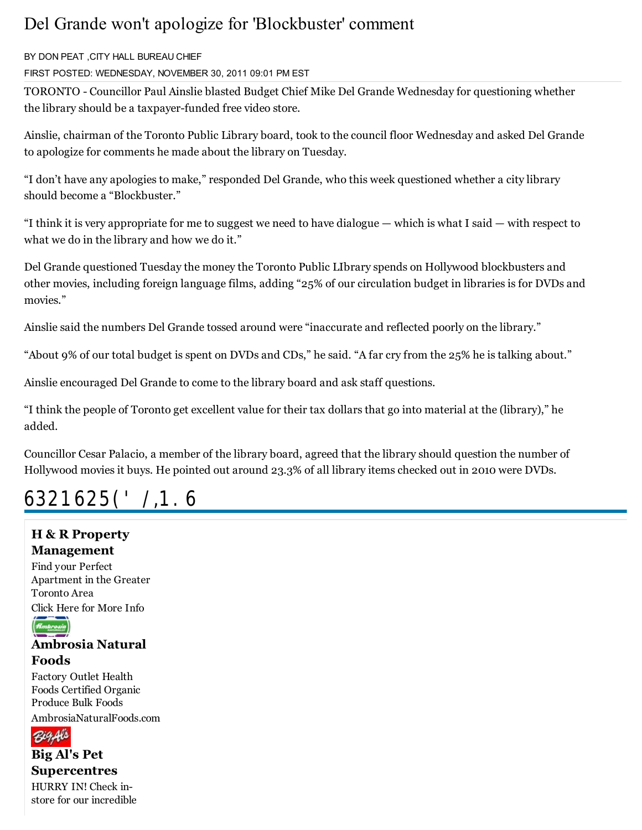## Del Grande won't apologize for 'Blockbuster' comment

#### B< DON PEAT ,CIT< HALL BUREAU CHIEF

FIRST POSTED: WEDNESDAY, NOVEMBER 30, 2011 09:01 PM EST

TORONTO - Councillor Paul Ainslie blasted Budget Chief Mike Del Grande Wednesday for questioning whether the library should be a taxpayer-funded free video store.

Ainslie, chairman of the Toronto Public Library board, took to the council floor Wednesday and asked Del Grande to apologize for comments he made about the library on Tuesday.

"I don¶t have any apologies to make," responded Del Grande, who this week questioned whether a city library should become a "Blockbuster."

"I think it is very appropriate for me to suggest we need to have dialogue — which is what I said — with respect to what we do in the library and how we do it."

Del Grande questioned Tuesday the money the Toronto Public LIbrary spends on Hollywood blockbusters and other movies, including foreign language films, adding "25% of our circulation budget in libraries is for DVDs and movies."

Ainslie said the numbers Del Grande tossed around were "inaccurate and reflected poorly on the library."

"About 9% of our total budget is spent on DVDs and CDs," he said. "A far cry from the 25% he is talking about."

Ainslie encouraged Del Grande to come to the library board and ask staff questions.

"I think the people of Toronto get excellent value for their tax dollars that go into material at the (library)," he added.

Councillor Cesar Palacio, a member of the library board, agreed that the library should question the number of Hollywood movies it buys. He pointed out around 23.3% of all library items checked out in 2010 were DVDs.

# SPONSORED LIN S

### H & R Property Management

Find your Perfect Apartment in the Greater Toronto Area Click Here for More Info



### Ambrosia Natural Foods

Factory Outlet Health Foods Certified Organic Produce Bulk Foods AmbrosiaNaturalFoods.com



Big Al's Pet Supercentres

HURRY IN! Check instore for our incredible